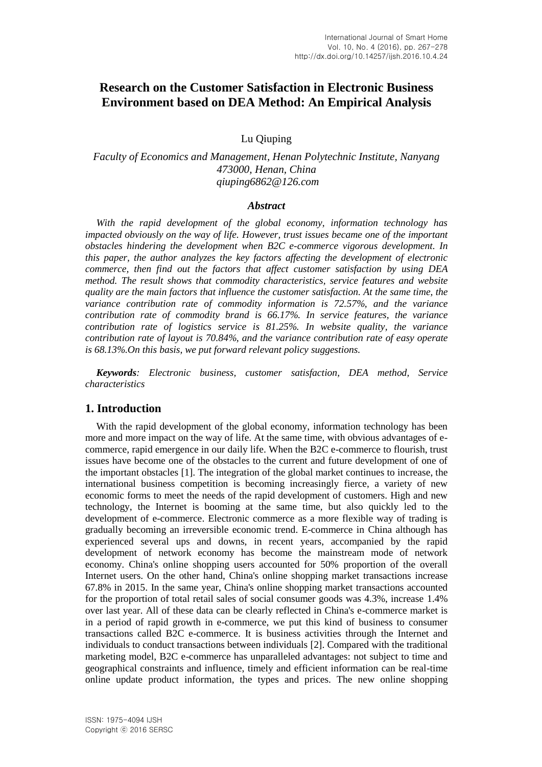# **Research on the Customer Satisfaction in Electronic Business Environment based on DEA Method: An Empirical Analysis**

Lu Qiuping

# *Faculty of Economics and Management, Henan Polytechnic Institute, Nanyang 473000, Henan, China qiuping6862@126.com*

### *Abstract*

*With the rapid development of the global economy, information technology has impacted obviously on the way of life. However, trust issues became one of the important obstacles hindering the development when B2C e-commerce vigorous development. In this paper, the author analyzes the key factors affecting the development of electronic commerce, then find out the factors that affect customer satisfaction by using DEA method. The result shows that commodity characteristics, service features and website quality are the main factors that influence the customer satisfaction. At the same time, the variance contribution rate of commodity information is 72.57%, and the variance contribution rate of commodity brand is 66.17%. In service features, the variance contribution rate of logistics service is 81.25%. In website quality, the variance contribution rate of layout is 70.84%, and the variance contribution rate of easy operate is 68.13%.On this basis, we put forward relevant policy suggestions.* 

*Keywords: Electronic business, customer satisfaction, DEA method, Service characteristics*

## **1. Introduction**

With the rapid development of the global economy, information technology has been more and more impact on the way of life. At the same time, with obvious advantages of ecommerce, rapid emergence in our daily life. When the B2C e-commerce to flourish, trust issues have become one of the obstacles to the current and future development of one of the important obstacles [1]. The integration of the global market continues to increase, the international business competition is becoming increasingly fierce, a variety of new economic forms to meet the needs of the rapid development of customers. High and new technology, the Internet is booming at the same time, but also quickly led to the development of e-commerce. Electronic commerce as a more flexible way of trading is gradually becoming an irreversible economic trend. E-commerce in China although has experienced several ups and downs, in recent years, accompanied by the rapid development of network economy has become the mainstream mode of network economy. China's online shopping users accounted for 50% proportion of the overall Internet users. On the other hand, China's online shopping market transactions increase 67.8% in 2015. In the same year, China's online shopping market transactions accounted for the proportion of total retail sales of social consumer goods was 4.3%, increase 1.4% over last year. All of these data can be clearly reflected in China's e-commerce market is in a period of rapid growth in e-commerce, we put this kind of business to consumer transactions called B2C e-commerce. It is business activities through the Internet and individuals to conduct transactions between individuals [2]. Compared with the traditional marketing model, B2C e-commerce has unparalleled advantages: not subject to time and geographical constraints and influence, timely and efficient information can be real-time online update product information, the types and prices. The new online shopping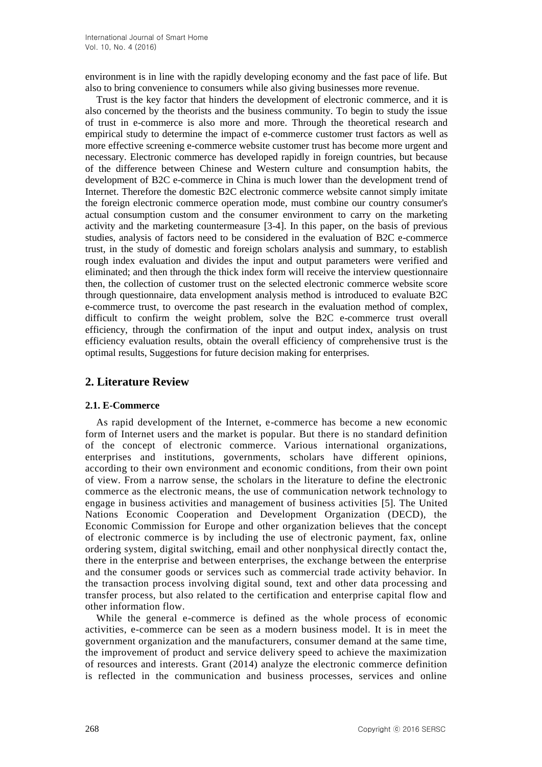environment is in line with the rapidly developing economy and the fast pace of life. But also to bring convenience to consumers while also giving businesses more revenue.

Trust is the key factor that hinders the development of electronic commerce, and it is also concerned by the theorists and the business community. To begin to study the issue of trust in e-commerce is also more and more. Through the theoretical research and empirical study to determine the impact of e-commerce customer trust factors as well as more effective screening e-commerce website customer trust has become more urgent and necessary. Electronic commerce has developed rapidly in foreign countries, but because of the difference between Chinese and Western culture and consumption habits, the development of B2C e-commerce in China is much lower than the development trend of Internet. Therefore the domestic B2C electronic commerce website cannot simply imitate the foreign electronic commerce operation mode, must combine our country consumer's actual consumption custom and the consumer environment to carry on the marketing activity and the marketing countermeasure [3-4]. In this paper, on the basis of previous studies, analysis of factors need to be considered in the evaluation of B2C e-commerce trust, in the study of domestic and foreign scholars analysis and summary, to establish rough index evaluation and divides the input and output parameters were verified and eliminated; and then through the thick index form will receive the interview questionnaire then, the collection of customer trust on the selected electronic commerce website score through questionnaire, data envelopment analysis method is introduced to evaluate B2C e-commerce trust, to overcome the past research in the evaluation method of complex, difficult to confirm the weight problem, solve the B2C e-commerce trust overall efficiency, through the confirmation of the input and output index, analysis on trust efficiency evaluation results, obtain the overall efficiency of comprehensive trust is the optimal results, Suggestions for future decision making for enterprises.

# **2. Literature Review**

## **2.1. E-Commerce**

As rapid development of the Internet, e-commerce has become a new economic form of Internet users and the market is popular. But there is no standard definition of the concept of electronic commerce. Various international organizations, enterprises and institutions, governments, scholars have different opinions, according to their own environment and economic conditions, from their own point of view. From a narrow sense, the scholars in the literature to define the electronic commerce as the electronic means, the use of communication network technology to engage in business activities and management of business activities [5]. The United Nations Economic Cooperation and Development Organization (DECD), the Economic Commission for Europe and other organization believes that the concept of electronic commerce is by including the use of electronic payment, fax, online ordering system, digital switching, email and other nonphysical directly contact the, there in the enterprise and between enterprises, the exchange between the enterprise and the consumer goods or services such as commercial trade activity behavior. In the transaction process involving digital sound, text and other data processing and transfer process, but also related to the certification and enterprise capital flow and other information flow.

While the general e-commerce is defined as the whole process of economic activities, e-commerce can be seen as a modern business model. It is in meet the government organization and the manufacturers, consumer demand at the same time, the improvement of product and service delivery speed to achieve the maximization of resources and interests. Grant (2014) analyze the electronic commerce definition is reflected in the communication and business processes, services and online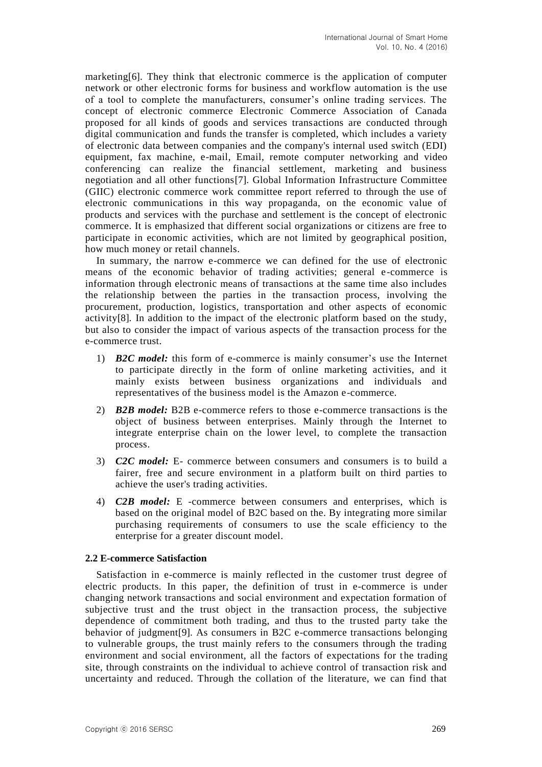marketing[6]. They think that electronic commerce is the application of computer network or other electronic forms for business and workflow automation is the use of a tool to complete the manufacturers, consumer's online trading services. The concept of electronic commerce Electronic Commerce Association of Canada proposed for all kinds of goods and services transactions are conducted through digital communication and funds the transfer is completed, which includes a variety of electronic data between companies and the company's internal used switch (EDI) equipment, fax machine, e-mail, Email, remote computer networking and video conferencing can realize the financial settlement, marketing and business negotiation and all other functions[7]. Global Information Infrastructure Committee (GIIC) electronic commerce work committee report referred to through the use of electronic communications in this way propaganda, on the economic value of products and services with the purchase and settlement is the concept of electronic commerce. It is emphasized that different social organizations or citizens are free to participate in economic activities, which are not limited by geographical position, how much money or retail channels.

In summary, the narrow e-commerce we can defined for the use of electronic means of the economic behavior of trading activities; general e-commerce is information through electronic means of transactions at the same time also includes the relationship between the parties in the transaction process, involving the procurement, production, logistics, transportation and other aspects of economic activity[8]. In addition to the impact of the electronic platform based on the study, but also to consider the impact of various aspects of the transaction process for the e-commerce trust.

- 1) *B2C model:* this form of e-commerce is mainly consumer's use the Internet to participate directly in the form of online marketing activities, and it mainly exists between business organizations and individuals and representatives of the business model is the Amazon e-commerce.
- 2) *B2B model:* B2B e-commerce refers to those e-commerce transactions is the object of business between enterprises. Mainly through the Internet to integrate enterprise chain on the lower level, to complete the transaction process.
- 3) *C2C model:* E- commerce between consumers and consumers is to build a fairer, free and secure environment in a platform built on third parties to achieve the user's trading activities.
- 4) *C2B model:* E -commerce between consumers and enterprises, which is based on the original model of B2C based on the. By integrating more similar purchasing requirements of consumers to use the scale efficiency to the enterprise for a greater discount model.

## **2.2 E-commerce Satisfaction**

Satisfaction in e-commerce is mainly reflected in the customer trust degree of electric products. In this paper, the definition of trust in e-commerce is under changing network transactions and social environment and expectation formation of subjective trust and the trust object in the transaction process, the subjective dependence of commitment both trading, and thus to the trusted party take the behavior of judgment[9]. As consumers in B2C e-commerce transactions belonging to vulnerable groups, the trust mainly refers to the consumers through the trading environment and social environment, all the factors of expectations for the trading site, through constraints on the individual to achieve control of transaction risk and uncertainty and reduced. Through the collation of the literature, we can find that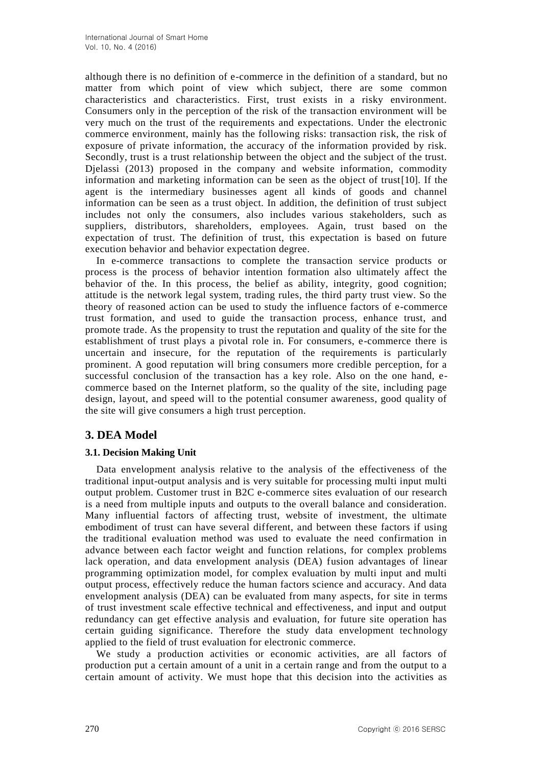although there is no definition of e-commerce in the definition of a standard, but no matter from which point of view which subject, there are some common characteristics and characteristics. First, trust exists in a risky environment. Consumers only in the perception of the risk of the transaction environment will be very much on the trust of the requirements and expectations. Under the electronic commerce environment, mainly has the following risks: transaction risk, the risk of exposure of private information, the accuracy of the information provided by risk. Secondly, trust is a trust relationship between the object and the subject of the trust. Djelassi (2013) proposed in the company and website information, commodity information and marketing information can be seen as the object of trust[10]. If the agent is the intermediary businesses agent all kinds of goods and channel information can be seen as a trust object. In addition, the definition of trust subject includes not only the consumers, also includes various stakeholders, such as suppliers, distributors, shareholders, employees. Again, trust based on the expectation of trust. The definition of trust, this expectation is based on future execution behavior and behavior expectation degree.

In e-commerce transactions to complete the transaction service products or process is the process of behavior intention formation also ultimately affect the behavior of the. In this process, the belief as ability, integrity, good cognition; attitude is the network legal system, trading rules, the third party trust view. So the theory of reasoned action can be used to study the influence factors of e-commerce trust formation, and used to guide the transaction process, enhance trust, and promote trade. As the propensity to trust the reputation and quality of the site for the establishment of trust plays a pivotal role in. For consumers, e-commerce there is uncertain and insecure, for the reputation of the requirements is particularly prominent. A good reputation will bring consumers more credible perception, for a successful conclusion of the transaction has a key role. Also on the one hand, ecommerce based on the Internet platform, so the quality of the site, including page design, layout, and speed will to the potential consumer awareness, good quality of the site will give consumers a high trust perception.

# **3. DEA Model**

## **3.1. Decision Making Unit**

Data envelopment analysis relative to the analysis of the effectiveness of the traditional input-output analysis and is very suitable for processing multi input multi output problem. Customer trust in B2C e-commerce sites evaluation of our research is a need from multiple inputs and outputs to the overall balance and consideration. Many influential factors of affecting trust, website of investment, the ultimate embodiment of trust can have several different, and between these factors if using the traditional evaluation method was used to evaluate the need confirmation in advance between each factor weight and function relations, for complex problems lack operation, and data envelopment analysis (DEA) fusion advantages of linear programming optimization model, for complex evaluation by multi input and multi output process, effectively reduce the human factors science and accuracy. And data envelopment analysis (DEA) can be evaluated from many aspects, for site in terms of trust investment scale effective technical and effectiveness, and input and output redundancy can get effective analysis and evaluation, for future site operation has certain guiding significance. Therefore the study data envelopment technology applied to the field of trust evaluation for electronic commerce.

We study a production activities or economic activities, are all factors of production put a certain amount of a unit in a certain range and from the output to a certain amount of activity. We must hope that this decision into the activities as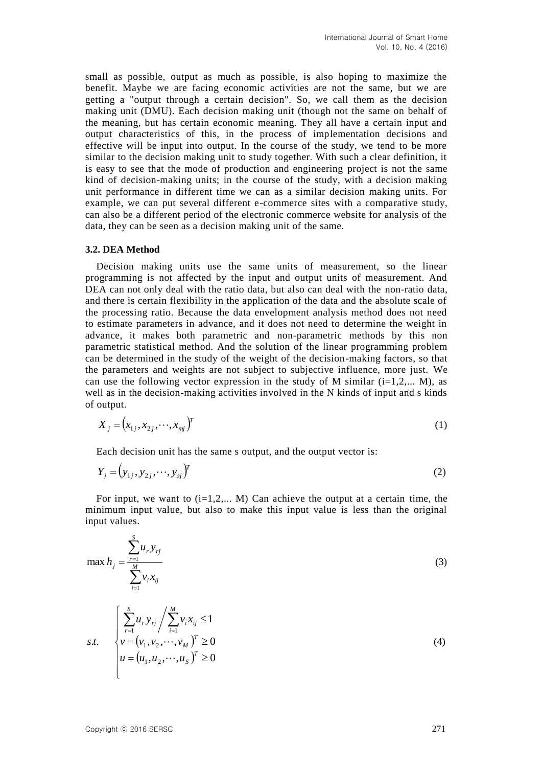small as possible, output as much as possible, is also hoping to maximize the benefit. Maybe we are facing economic activities are not the same, but we are getting a "output through a certain decision". So, we call them as the decision making unit (DMU). Each decision making unit (though not the same on behalf of the meaning, but has certain economic meaning. They all have a certain input and output characteristics of this, in the process of implementation decisions and effective will be input into output. In the course of the study, we tend to be more similar to the decision making unit to study together. With such a clear definition, it is easy to see that the mode of production and engineering project is not the same kind of decision-making units; in the course of the study, with a decision making unit performance in different time we can as a similar decision making units. For example, we can put several different e-commerce sites with a comparative study, can also be a different period of the electronic commerce website for analysis of the data, they can be seen as a decision making unit of the same.

### **3.2. DEA Method**

Decision making units use the same units of measurement, so the linear programming is not affected by the input and output units of measurement. And DEA can not only deal with the ratio data, but also can deal with the non-ratio data. and there is certain flexibility in the application of the data and the absolute scale of the processing ratio. Because the data envelopment analysis method does not need to estimate parameters in advance, and it does not need to determine the weight in advance, it makes both parametric and non-parametric methods by this non parametric statistical method. And the solution of the linear programming problem can be determined in the study of the weight of the decision-making factors, so that the parameters and weights are not subject to subjective influence, more just. We can use the following vector expression in the study of M similar  $(i=1,2,...,M)$ , as well as in the decision-making activities involved in the N kinds of input and s kinds of output.

$$
X_{j} = (x_{1j}, x_{2j}, \cdots, x_{mj})^{T}
$$
 (1)

Each decision unit has the same s output, and the output vector is:

$$
Y_j = (y_{1j}, y_{2j}, \cdots, y_{sj})^T
$$
 (2)

For input, we want to  $(i=1,2,...,M)$  Can achieve the output at a certain time, the minimum input value, but also to make this input value is less than the original input values.

$$
\max h_j = \frac{\sum_{r=1}^{S} u_r y_{rj}}{\sum_{i=1}^{M} v_i x_{ij}}
$$
\n
$$
\left(\sum_{r=1}^{S} u_r y_{rj} / \sum_{r=1}^{M} v_i x_{ij} \le 1\right)
$$
\n(3)

s.t. 
$$
\begin{cases} \sum_{r=1}^{n} u_r y_{rj} / \sum_{i=1}^{n} v_i x_{ij} \le 1 \\ v = (v_1, v_2, \dots, v_M)^T \ge 0 \\ u = (u_1, u_2, \dots, u_S)^T \ge 0 \end{cases}
$$
 (4)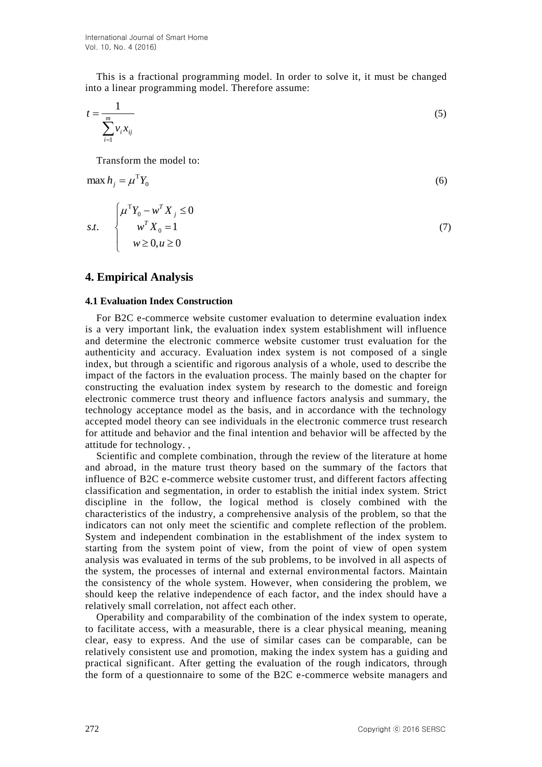This is a fractional programming model. In order to solve it, it must be changed into a linear programming model. Therefore assume:

$$
t = \frac{1}{\sum_{i=1}^{m} v_i x_{ij}}\tag{5}
$$

Transform the model to:

$$
\max h_j = \mu^{\mathrm{T}} Y_0 \tag{6}
$$

$$
s.t. \begin{cases} \mu^{\mathrm{T}} Y_0 - w^{\mathrm{T}} X_j \le 0 \\ w^{\mathrm{T}} X_0 = 1 \\ w \ge 0, u \ge 0 \end{cases} \tag{7}
$$

# **4. Empirical Analysis**

#### **4.1 Evaluation Index Construction**

For B2C e-commerce website customer evaluation to determine evaluation index is a very important link, the evaluation index system establishment will influence and determine the electronic commerce website customer trust evaluation for the authenticity and accuracy. Evaluation index system is not composed of a single index, but through a scientific and rigorous analysis of a whole, used to describe the impact of the factors in the evaluation process. The mainly based on the chapter for constructing the evaluation index system by research to the domestic and foreign electronic commerce trust theory and influence factors analysis and summary, the technology acceptance model as the basis, and in accordance with the technology accepted model theory can see individuals in the electronic commerce trust research for attitude and behavior and the final intention and behavior will be affected by the attitude for technology. ,

Scientific and complete combination, through the review of the literature at home and abroad, in the mature trust theory based on the summary of the factors that influence of B2C e-commerce website customer trust, and different factors affecting classification and segmentation, in order to establish the initial index system. Strict discipline in the follow, the logical method is closely combined with the characteristics of the industry, a comprehensive analysis of the problem, so that the indicators can not only meet the scientific and complete reflection of the problem. System and independent combination in the establishment of the index system to starting from the system point of view, from the point of view of open system analysis was evaluated in terms of the sub problems, to be involved in all aspects of the system, the processes of internal and external environmental factors. Maintain the consistency of the whole system. However, when considering the problem, we should keep the relative independence of each factor, and the index should have a relatively small correlation, not affect each other.

Operability and comparability of the combination of the index system to operate, to facilitate access, with a measurable, there is a clear physical meaning, meaning clear, easy to express. And the use of similar cases can be comparable, can be relatively consistent use and promotion, making the index system has a guiding and practical significant. After getting the evaluation of the rough indicators, through the form of a questionnaire to some of the B2C e-commerce website managers and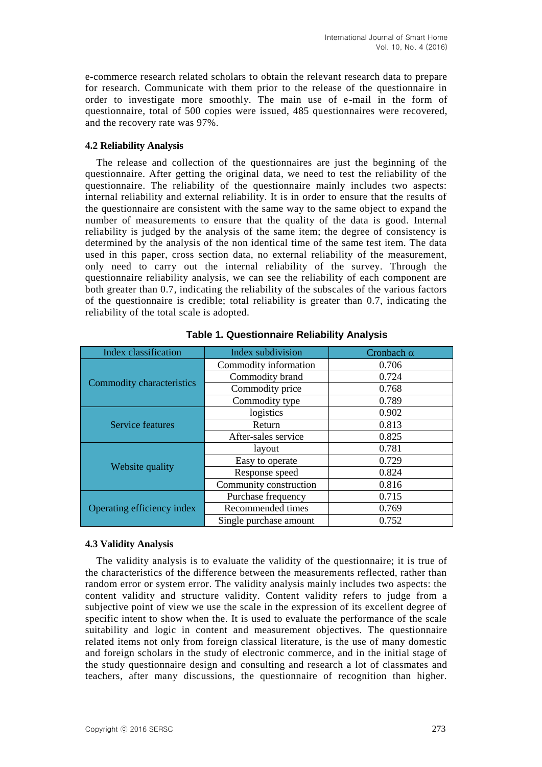e-commerce research related scholars to obtain the relevant research data to prepare for research. Communicate with them prior to the release of the questionnaire in order to investigate more smoothly. The main use of e-mail in the form of questionnaire, total of 500 copies were issued, 485 questionnaires were recovered, and the recovery rate was 97%.

### **4.2 Reliability Analysis**

The release and collection of the questionnaires are just the beginning of the questionnaire. After getting the original data, we need to test the reliability of the questionnaire. The reliability of the questionnaire mainly includes two aspects: internal reliability and external reliability. It is in order to ensure that the results of the questionnaire are consistent with the same way to the same object to expand the number of measurements to ensure that the quality of the data is good. Internal reliability is judged by the analysis of the same item; the degree of consistency is determined by the analysis of the non identical time of the same test item. The data used in this paper, cross section data, no external reliability of the measurement, only need to carry out the internal reliability of the survey. Through the questionnaire reliability analysis, we can see the reliability of each component are both greater than 0.7, indicating the reliability of the subscales of the various factors of the questionnaire is credible; total reliability is greater than 0.7, indicating the reliability of the total scale is adopted.

| Index classification       | Index subdivision      | Cronbach $\alpha$ |  |
|----------------------------|------------------------|-------------------|--|
|                            | Commodity information  | 0.706             |  |
|                            | Commodity brand        | 0.724             |  |
| Commodity characteristics  | Commodity price        | 0.768             |  |
|                            | Commodity type         | 0.789             |  |
|                            | logistics              | 0.902             |  |
| Service features           | Return                 | 0.813             |  |
|                            | After-sales service    | 0.825             |  |
|                            | layout                 | 0.781             |  |
|                            | Easy to operate        | 0.729             |  |
| Website quality            | Response speed         | 0.824             |  |
|                            | Community construction | 0.816             |  |
|                            | Purchase frequency     | 0.715             |  |
| Operating efficiency index | Recommended times      | 0.769             |  |
|                            | Single purchase amount | 0.752             |  |

**Table 1. Questionnaire Reliability Analysis**

### **4.3 Validity Analysis**

The validity analysis is to evaluate the validity of the questionnaire; it is true of the characteristics of the difference between the measurements reflected, rather than random error or system error. The validity analysis mainly includes two aspects: the content validity and structure validity. Content validity refers to judge from a subjective point of view we use the scale in the expression of its excellent degree of specific intent to show when the. It is used to evaluate the performance of the scale suitability and logic in content and measurement objectives. The questionnaire related items not only from foreign classical literature, is the use of many domestic and foreign scholars in the study of electronic commerce, and in the initial stage of the study questionnaire design and consulting and research a lot of classmates and teachers, after many discussions, the questionnaire of recognition than higher.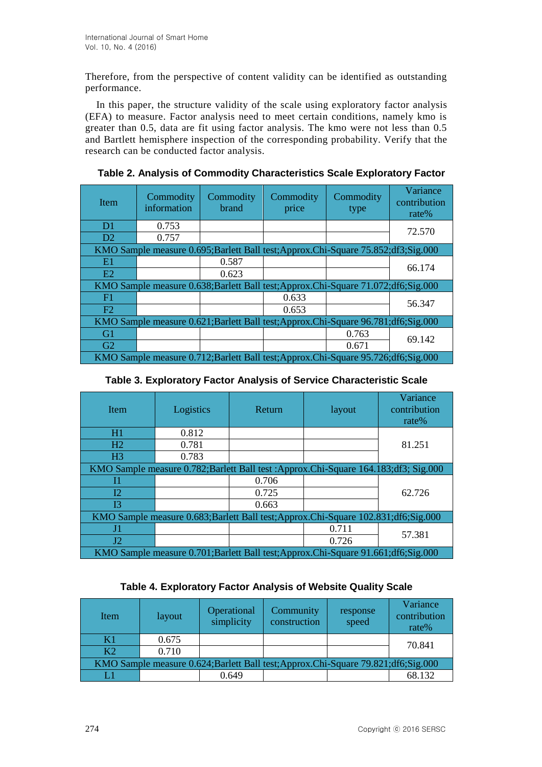Therefore, from the perspective of content validity can be identified as outstanding performance.

In this paper, the structure validity of the scale using exploratory factor analysis (EFA) to measure. Factor analysis need to meet certain conditions, namely kmo is greater than 0.5, data are fit using factor analysis. The kmo were not less than 0.5 and Bartlett hemisphere inspection of the corresponding probability. Verify that the research can be conducted factor analysis.

| <b>Item</b>                                                                          | Commodity<br>information | Commodity<br>brand | Commodity<br>price                                                                   | Commodity<br>type | Variance<br>contribution<br>rate $%$ |
|--------------------------------------------------------------------------------------|--------------------------|--------------------|--------------------------------------------------------------------------------------|-------------------|--------------------------------------|
| D <sub>1</sub>                                                                       | 0.753                    |                    |                                                                                      |                   | 72.570                               |
| D2                                                                                   | 0.757                    |                    |                                                                                      |                   |                                      |
|                                                                                      |                          |                    | KMO Sample measure 0.695; Barlett Ball test; Approx. Chi-Square 75.852; df3; Sig.000 |                   |                                      |
| E1                                                                                   |                          | 0.587              |                                                                                      |                   | 66.174                               |
| E2                                                                                   |                          | 0.623              |                                                                                      |                   |                                      |
|                                                                                      |                          |                    | KMO Sample measure 0.638; Barlett Ball test; Approx. Chi-Square 71.072; df6; Sig.000 |                   |                                      |
| F1                                                                                   |                          |                    | 0.633                                                                                |                   | 56.347                               |
| F2                                                                                   |                          |                    | 0.653                                                                                |                   |                                      |
|                                                                                      |                          |                    | KMO Sample measure 0.621; Barlett Ball test; Approx. Chi-Square 96.781; df6; Sig.000 |                   |                                      |
| G1                                                                                   |                          |                    |                                                                                      | 0.763             | 69.142                               |
| G2                                                                                   |                          |                    |                                                                                      | 0.671             |                                      |
| KMO Sample measure 0.712; Barlett Ball test; Approx. Chi-Square 95.726; df6; Sig.000 |                          |                    |                                                                                      |                   |                                      |

**Table 2. Analysis of Commodity Characteristics Scale Exploratory Factor**

| Item                                                                                  | Logistics                                                                              | Return | layout | Variance<br>contribution<br>rate $%$ |  |  |  |
|---------------------------------------------------------------------------------------|----------------------------------------------------------------------------------------|--------|--------|--------------------------------------|--|--|--|
| H1                                                                                    | 0.812                                                                                  |        |        |                                      |  |  |  |
| H2                                                                                    | 0.781                                                                                  |        |        | 81.251                               |  |  |  |
| H <sub>3</sub>                                                                        | 0.783                                                                                  |        |        |                                      |  |  |  |
|                                                                                       | KMO Sample measure 0.782; Barlett Ball test : Approx. Chi-Square 164.183; df3; Sig.000 |        |        |                                      |  |  |  |
| I1                                                                                    |                                                                                        | 0.706  |        |                                      |  |  |  |
| $12 \,$                                                                               |                                                                                        | 0.725  |        | 62.726                               |  |  |  |
| 13                                                                                    |                                                                                        | 0.663  |        |                                      |  |  |  |
| KMO Sample measure 0.683; Barlett Ball test; Approx. Chi-Square 102.831; df6; Sig.000 |                                                                                        |        |        |                                      |  |  |  |
| J1                                                                                    |                                                                                        |        | 0.711  | 57.381                               |  |  |  |
| J2                                                                                    |                                                                                        |        | 0.726  |                                      |  |  |  |
| KMO Sample measure 0.701; Barlett Ball test; Approx. Chi-Square 91.661; df6; Sig.000  |                                                                                        |        |        |                                      |  |  |  |

# **Table 4. Exploratory Factor Analysis of Website Quality Scale**

| Item           | layout | Operational<br>simplicity | Community<br>construction                                                            | response<br>speed | Variance<br>contribution<br>rate% |
|----------------|--------|---------------------------|--------------------------------------------------------------------------------------|-------------------|-----------------------------------|
| K1             | 0.675  |                           |                                                                                      |                   | 70.841                            |
| K <sub>2</sub> | 0.710  |                           |                                                                                      |                   |                                   |
|                |        |                           | KMO Sample measure 0.624; Barlett Ball test; Approx. Chi-Square 79.821; df6; Sig.000 |                   |                                   |
|                |        | 0.649                     |                                                                                      |                   | 68.132                            |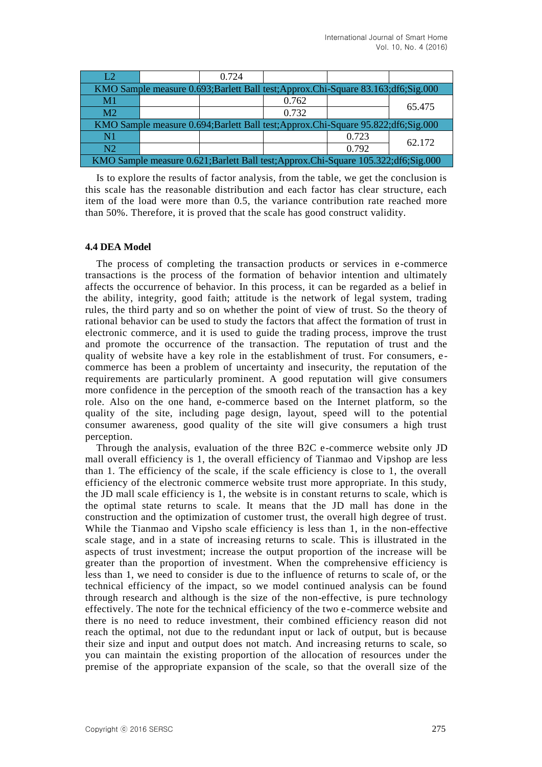| L2                                                                                    |  | 0.724 |                                                                                      |       |        |
|---------------------------------------------------------------------------------------|--|-------|--------------------------------------------------------------------------------------|-------|--------|
|                                                                                       |  |       | KMO Sample measure 0.693; Barlett Ball test; Approx. Chi-Square 83.163; df6; Sig.000 |       |        |
| M <sub>1</sub>                                                                        |  |       | 0.762                                                                                |       | 65.475 |
| M <sub>2</sub>                                                                        |  |       | 0.732                                                                                |       |        |
| KMO Sample measure 0.694; Barlett Ball test; Approx. Chi-Square 95.822; df6; Sig.000  |  |       |                                                                                      |       |        |
| N1                                                                                    |  |       |                                                                                      | 0.723 | 62.172 |
| N2                                                                                    |  |       |                                                                                      | 0.792 |        |
| KMO Sample measure 0.621; Barlett Ball test; Approx. Chi-Square 105.322; df6; Sig.000 |  |       |                                                                                      |       |        |

Is to explore the results of factor analysis, from the table, we get the conclusion is this scale has the reasonable distribution and each factor has clear structure, each item of the load were more than 0.5, the variance contribution rate reached more than 50%. Therefore, it is proved that the scale has good construct validity.

## **4.4 DEA Model**

The process of completing the transaction products or services in e-commerce transactions is the process of the formation of behavior intention and ultimately affects the occurrence of behavior. In this process, it can be regarded as a belief in the ability, integrity, good faith; attitude is the network of legal system, trading rules, the third party and so on whether the point of view of trust. So the theory of rational behavior can be used to study the factors that affect the formation of trust in electronic commerce, and it is used to guide the trading process, improve the trust and promote the occurrence of the transaction. The reputation of trust and the quality of website have a key role in the establishment of trust. For consumers, e commerce has been a problem of uncertainty and insecurity, the reputation of the requirements are particularly prominent. A good reputation will give consumers more confidence in the perception of the smooth reach of the transaction has a key role. Also on the one hand, e-commerce based on the Internet platform, so the quality of the site, including page design, layout, speed will to the potential consumer awareness, good quality of the site will give consumers a high trust perception.

Through the analysis, evaluation of the three B2C e-commerce website only JD mall overall efficiency is 1, the overall efficiency of Tianmao and Vipshop are less than 1. The efficiency of the scale, if the scale efficiency is close to 1, the overall efficiency of the electronic commerce website trust more appropriate. In this study, the JD mall scale efficiency is 1, the website is in constant returns to scale, which is the optimal state returns to scale. It means that the JD mall has done in the construction and the optimization of customer trust, the overall high degree of trust. While the Tianmao and Vipsho scale efficiency is less than 1, in the non-effective scale stage, and in a state of increasing returns to scale. This is illustrated in the aspects of trust investment; increase the output proportion of the increase will be greater than the proportion of investment. When the comprehensive efficiency is less than 1, we need to consider is due to the influence of returns to scale of, or the technical efficiency of the impact, so we model continued analysis can be found through research and although is the size of the non-effective, is pure technology effectively. The note for the technical efficiency of the two e-commerce website and there is no need to reduce investment, their combined efficiency reason did not reach the optimal, not due to the redundant input or lack of output, but is because their size and input and output does not match. And increasing returns to scale, so you can maintain the existing proportion of the allocation of resources under the premise of the appropriate expansion of the scale, so that the overall size of the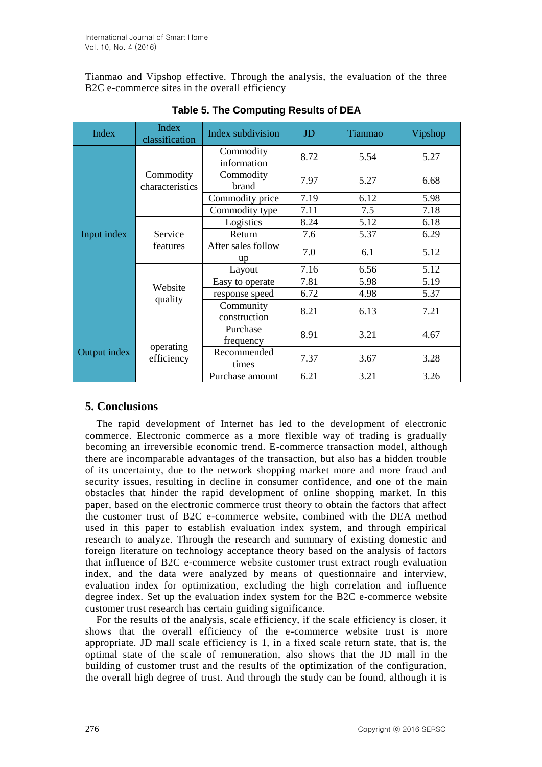Tianmao and Vipshop effective. Through the analysis, the evaluation of the three B2C e-commerce sites in the overall efficiency

| <b>Index</b> | <b>Index</b><br>classification | Index subdivision         | JD   | Tianmao | Vipshop |
|--------------|--------------------------------|---------------------------|------|---------|---------|
|              | Commodity<br>characteristics   | Commodity<br>information  | 8.72 | 5.54    | 5.27    |
|              |                                | Commodity<br>brand        | 7.97 | 5.27    | 6.68    |
|              |                                | Commodity price           | 7.19 | 6.12    | 5.98    |
|              |                                | Commodity type            | 7.11 | 7.5     | 7.18    |
| Input index  | Service<br>features            | Logistics                 | 8.24 | 5.12    | 6.18    |
|              |                                | Return                    | 7.6  | 5.37    | 6.29    |
|              |                                | After sales follow<br>up  | 7.0  | 6.1     | 5.12    |
|              | Website<br>quality             | Layout                    | 7.16 | 6.56    | 5.12    |
|              |                                | Easy to operate           | 7.81 | 5.98    | 5.19    |
|              |                                | response speed            | 6.72 | 4.98    | 5.37    |
|              |                                | Community<br>construction | 8.21 | 6.13    | 7.21    |
| Output index | operating<br>efficiency        | Purchase<br>frequency     | 8.91 | 3.21    | 4.67    |
|              |                                | Recommended<br>times      | 7.37 | 3.67    | 3.28    |
|              |                                | Purchase amount           | 6.21 | 3.21    | 3.26    |

# **Table 5. The Computing Results of DEA**

# **5. Conclusions**

The rapid development of Internet has led to the development of electronic commerce. Electronic commerce as a more flexible way of trading is gradually becoming an irreversible economic trend. E-commerce transaction model, although there are incomparable advantages of the transaction, but also has a hidden trouble of its uncertainty, due to the network shopping market more and more fraud and security issues, resulting in decline in consumer confidence, and one of the main obstacles that hinder the rapid development of online shopping market. In this paper, based on the electronic commerce trust theory to obtain the factors that affect the customer trust of B2C e-commerce website, combined with the DEA method used in this paper to establish evaluation index system, and through empirical research to analyze. Through the research and summary of existing domestic and foreign literature on technology acceptance theory based on the analysis of factors that influence of B2C e-commerce website customer trust extract rough evaluation index, and the data were analyzed by means of questionnaire and interview, evaluation index for optimization, excluding the high correlation and influence degree index. Set up the evaluation index system for the B2C e-commerce website customer trust research has certain guiding significance.

For the results of the analysis, scale efficiency, if the scale efficiency is closer, it shows that the overall efficiency of the e-commerce website trust is more appropriate. JD mall scale efficiency is 1, in a fixed scale return state, that is, the optimal state of the scale of remuneration, also shows that the JD mall in the building of customer trust and the results of the optimization of the configuration, the overall high degree of trust. And through the study can be found, although it is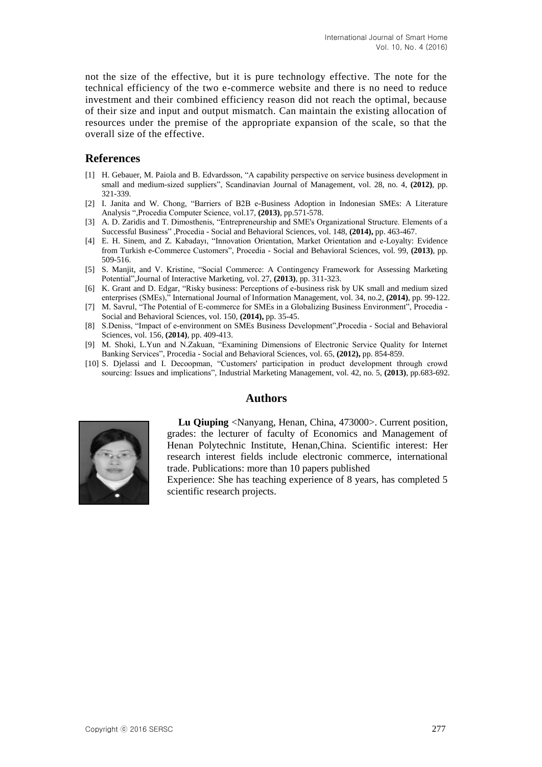not the size of the effective, but it is pure technology effective. The note for the technical efficiency of the two e-commerce website and there is no need to reduce investment and their combined efficiency reason did not reach the optimal, because of their size and input and output mismatch. Can maintain the existing allocation of resources under the premise of the appropriate expansion of the scale, so that the overall size of the effective.

## **References**

- [1] H. Gebauer, M. Paiola and B. Edvardsson, "A capability perspective on service business development in small and medium-sized suppliers", Scandinavian Journal of Management, vol. 28, no. 4, **(2012)**, pp. 321-339.
- [2] I. Janita and W. Chong, "Barriers of B2B e-Business Adoption in Indonesian SMEs: A Literature Analysis ",Procedia Computer Science, vol.17, **(2013)**, pp.571-578.
- [3] A. D. Zaridis and T. Dimosthenis, "Entrepreneurship and SME's Organizational Structure. Elements of a Successful Business" ,Procedia - Social and Behavioral Sciences, vol. 148, **(2014),** pp. 463-467.
- [4] E. H. Sinem, and Z. Kabadayı, "Innovation Orientation, Market Orientation and e-Loyalty: Evidence from Turkish e-Commerce Customers", Procedia - Social and Behavioral Sciences, vol. 99, **(2013)**, pp. 509-516.
- [5] S. Manjit, and V. Kristine, "Social Commerce: A Contingency Framework for Assessing Marketing Potential",Journal of Interactive Marketing, vol. 27, **(2013)**, pp. 311-323.
- [6] K. Grant and D. Edgar, "Risky business: Perceptions of e-business risk by UK small and medium sized enterprises (SMEs)," International Journal of Information Management, vol. 34, no.2, **(2014)**, pp. 99-122.
- [7] M. Savrul, "The Potential of E-commerce for SMEs in a Globalizing Business Environment", Procedia Social and Behavioral Sciences, vol. 150, **(2014),** pp. 35-45.
- [8] S.Deniss, "Impact of e-environment on SMEs Business Development",Procedia Social and Behavioral Sciences, vol. 156, **(2014)**, pp. 409-413.
- [9] M. Shoki, L.Yun and N.Zakuan, "Examining Dimensions of Electronic Service Quality for Internet Banking Services", Procedia - Social and Behavioral Sciences, vol. 65, **(2012),** pp. 854-859.
- [10] S. Djelassi and I. Decoopman, "Customers' participation in product development through crowd sourcing: Issues and implications", Industrial Marketing Management, vol. 42, no. 5, **(2013)**, pp.683-692.

### **Authors**



**Lu Qiuping** <Nanyang, Henan, China, 473000>. Current position, grades: the lecturer of faculty of Economics and Management of Henan Polytechnic Institute, Henan,China. Scientific interest: Her research interest fields include electronic commerce, international trade. Publications: more than 10 papers published

Experience: She has teaching experience of 8 years, has completed 5 scientific research projects.